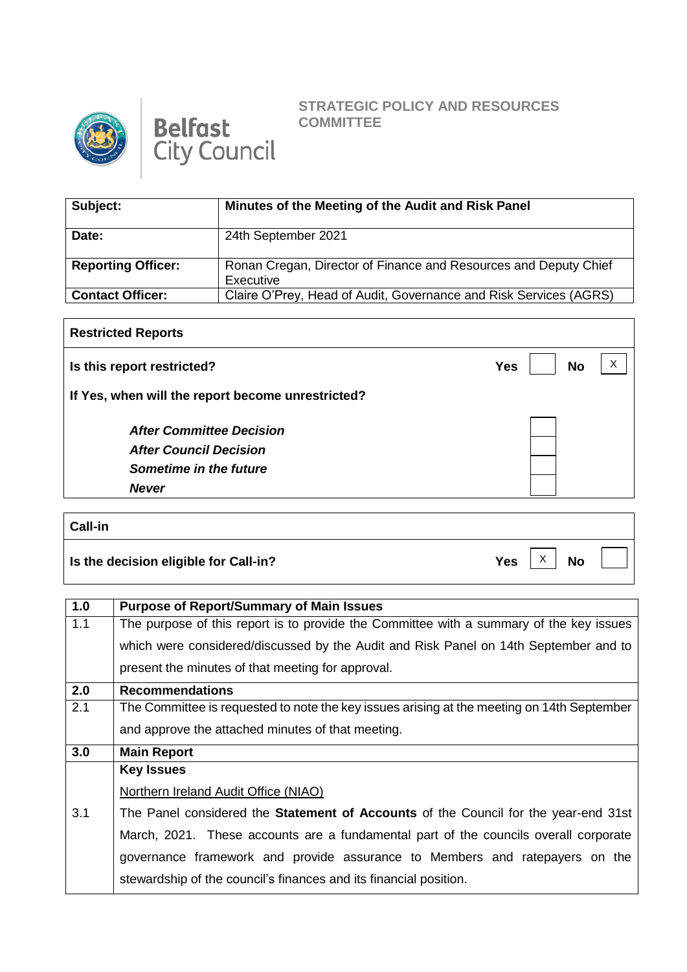



## **STRATEGIC POLICY AND RESOURCES COMMITTEE**

 $\overline{X}$  No

| Subject:                  | Minutes of the Meeting of the Audit and Risk Panel                            |
|---------------------------|-------------------------------------------------------------------------------|
| Date:                     | 24th September 2021                                                           |
| <b>Reporting Officer:</b> | Ronan Cregan, Director of Finance and Resources and Deputy Chief<br>Executive |
| <b>Contact Officer:</b>   | Claire O'Prey, Head of Audit, Governance and Risk Services (AGRS)             |

| <b>Restricted Reports</b>                         |                         |
|---------------------------------------------------|-------------------------|
| Is this report restricted?                        | <b>No</b><br><b>Yes</b> |
| If Yes, when will the report become unrestricted? |                         |
| <b>After Committee Decision</b>                   |                         |
| <b>After Council Decision</b>                     |                         |
| Sometime in the future                            |                         |
| <b>Never</b>                                      |                         |
|                                                   |                         |
| <b>Call-in</b>                                    |                         |

**Is the decision eligible for Call-in?** The Mass of the Mass of the Mass of the Mass of the Mass of the Mass of the Mass of the Mass of the Mass of the Mass of the Mass of the Mass of the Mass of the Mass of the Mass of th

| 1.0 | <b>Purpose of Report/Summary of Main Issues</b>                                            |
|-----|--------------------------------------------------------------------------------------------|
| 1.1 | The purpose of this report is to provide the Committee with a summary of the key issues    |
|     | which were considered/discussed by the Audit and Risk Panel on 14th September and to       |
|     | present the minutes of that meeting for approval.                                          |
| 2.0 | <b>Recommendations</b>                                                                     |
| 2.1 | The Committee is requested to note the key issues arising at the meeting on 14th September |
|     | and approve the attached minutes of that meeting.                                          |
| 3.0 | <b>Main Report</b>                                                                         |
|     | <b>Key Issues</b>                                                                          |
|     | Northern Ireland Audit Office (NIAO)                                                       |
| 3.1 | The Panel considered the <b>Statement of Accounts</b> of the Council for the year-end 31st |
|     | March, 2021. These accounts are a fundamental part of the councils overall corporate       |
|     | governance framework and provide assurance to Members and ratepayers on the                |
|     |                                                                                            |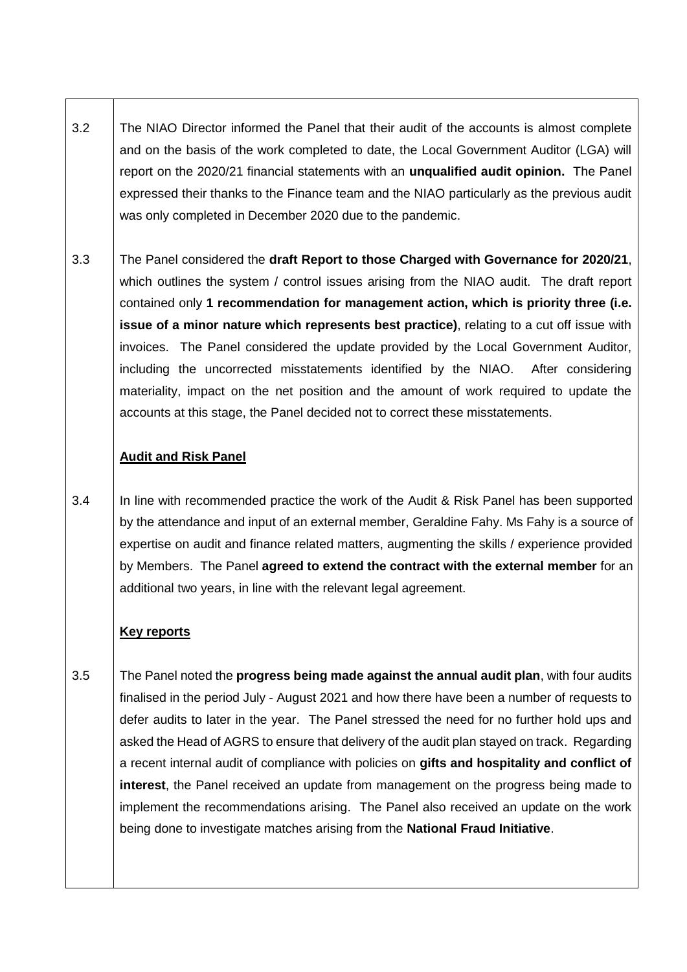- 3.2 The NIAO Director informed the Panel that their audit of the accounts is almost complete and on the basis of the work completed to date, the Local Government Auditor (LGA) will report on the 2020/21 financial statements with an **unqualified audit opinion.** The Panel expressed their thanks to the Finance team and the NIAO particularly as the previous audit was only completed in December 2020 due to the pandemic.
- 3.3 The Panel considered the **draft Report to those Charged with Governance for 2020/21**, which outlines the system / control issues arising from the NIAO audit. The draft report contained only **1 recommendation for management action, which is priority three (i.e. issue of a minor nature which represents best practice)**, relating to a cut off issue with invoices. The Panel considered the update provided by the Local Government Auditor, including the uncorrected misstatements identified by the NIAO. After considering materiality, impact on the net position and the amount of work required to update the accounts at this stage, the Panel decided not to correct these misstatements.

#### **Audit and Risk Panel**

3.4 In line with recommended practice the work of the Audit & Risk Panel has been supported by the attendance and input of an external member, Geraldine Fahy. Ms Fahy is a source of expertise on audit and finance related matters, augmenting the skills / experience provided by Members. The Panel **agreed to extend the contract with the external member** for an additional two years, in line with the relevant legal agreement.

### **Key reports**

3.5 The Panel noted the **progress being made against the annual audit plan**, with four audits finalised in the period July - August 2021 and how there have been a number of requests to defer audits to later in the year. The Panel stressed the need for no further hold ups and asked the Head of AGRS to ensure that delivery of the audit plan stayed on track. Regarding a recent internal audit of compliance with policies on **gifts and hospitality and conflict of interest**, the Panel received an update from management on the progress being made to implement the recommendations arising. The Panel also received an update on the work being done to investigate matches arising from the **National Fraud Initiative**.